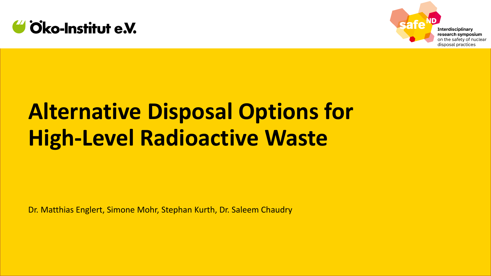



#### **Interdisciplinary** research symposium on the safety of nuclear disposal practices

# **Alternative Disposal Options for High-Level Radioactive Waste**

Dr. Matthias Englert, Simone Mohr, Stephan Kurth, Dr. Saleem Chaudry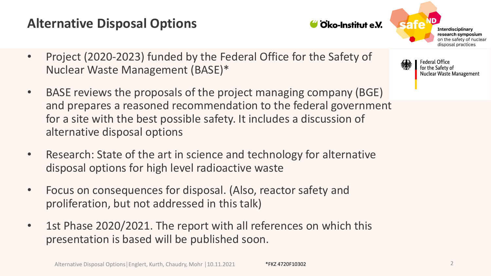# **Alternative Disposal Options**

Alternative Disposal Options│Englert, Kurth, Chaudry, Mohr | 10.11.2021 \*FKZ 4720F10302 2 2

- Nuclear Waste Management (BASE)\*
- BASE reviews the proposals of the project managing company (BGE) and prepares a reasoned recommendation to the federal government for a site with the best possible safety. It includes a discussion of alternative disposal options

• Project (2020-2023) funded by the Federal Office for the Safety of

- Research: State of the art in science and technology for alternative disposal options for high level radioactive waste
- Focus on consequences for disposal. (Also, reactor safety and proliferation, but not addressed in this talk)
- 1st Phase 2020/2021. The report with all references on which this presentation is based will be published soon.

Oko-Institut e.V.

**Interdisciplinary** research symposium on the safety of nuclear disposal practices

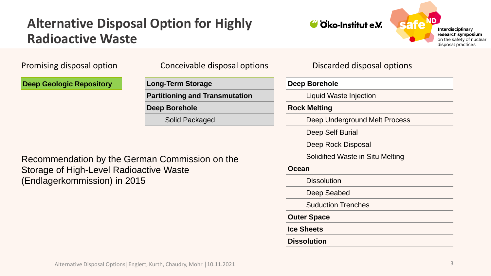#### **Alternative Disposal Option for Highly Radioactive Waste**



**Interdisciplinary** research symposium on the safety of nuclear disposal practices

**Deep Geologic Repository**

Promising disposal option Conceivable disposal options Discarded disposal options

**Long-Term Storage Partitioning and Transmutation Deep Borehole** Solid Packaged

**Deep Borehole**

Liquid Waste Injection

**Rock Melting**

Deep Underground Melt Process

Deep Self Burial

Deep Rock Disposal

Solidified Waste in Situ Melting

**Ocean**

**Dissolution** 

Deep Seabed

Suduction Trenches

**Outer Space**

**Ice Sheets**

**Dissolution**

Recommendation by the German Commission on the Storage of High-Level Radioactive Waste (Endlagerkommission) in 2015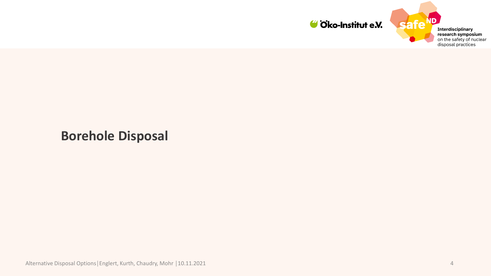



**Borehole Disposal**

Alternative Disposal Options│Englert, Kurth, Chaudry, Mohr │10.11.2021 4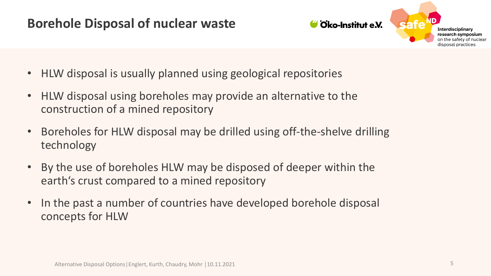#### **Borehole Disposal of nuclear waste**



- HLW disposal is usually planned using geological repositories
- HLW disposal using boreholes may provide an alternative to the construction of a mined repository
- Boreholes for HLW disposal may be drilled using off-the-shelve drilling technology
- By the use of boreholes HLW may be disposed of deeper within the earth's crust compared to a mined repository
- In the past a number of countries have developed borehole disposal concepts for HLW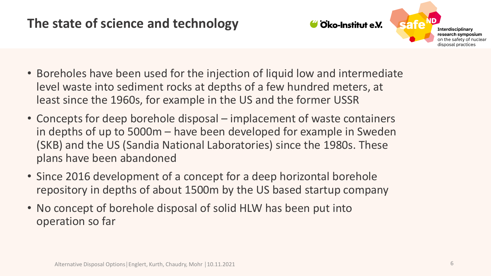# **The state of science and technology**



- Boreholes have been used for the injection of liquid low and intermediate level waste into sediment rocks at depths of a few hundred meters, at least since the 1960s, for example in the US and the former USSR
- Concepts for deep borehole disposal implacement of waste containers in depths of up to 5000m – have been developed for example in Sweden (SKB) and the US (Sandia National Laboratories) since the 1980s. These plans have been abandoned
- Since 2016 development of a concept for a deep horizontal borehole repository in depths of about 1500m by the US based startup company
- No concept of borehole disposal of solid HLW has been put into operation so far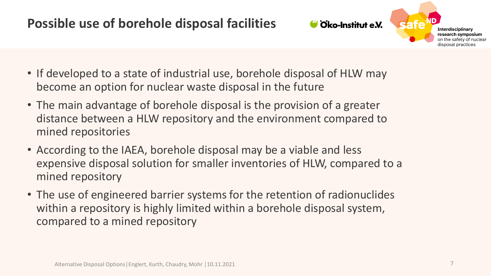#### **Possible use of borehole disposal facilities**



- If developed to a state of industrial use, borehole disposal of HLW may become an option for nuclear waste disposal in the future
- The main advantage of borehole disposal is the provision of a greater distance between a HLW repository and the environment compared to mined repositories
- According to the IAEA, borehole disposal may be a viable and less expensive disposal solution for smaller inventories of HLW, compared to a mined repository
- The use of engineered barrier systems for the retention of radionuclides within a repository is highly limited within a borehole disposal system, compared to a mined repository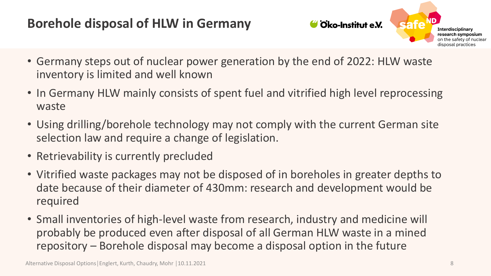# **Borehole disposal of HLW in Germany**



- Germany steps out of nuclear power generation by the end of 2022: HLW waste inventory is limited and well known
- In Germany HLW mainly consists of spent fuel and vitrified high level reprocessing waste
- Using drilling/borehole technology may not comply with the current German site selection law and require a change of legislation.
- Retrievability is currently precluded
- Vitrified waste packages may not be disposed of in boreholes in greater depths to date because of their diameter of 430mm: research and development would be required
- Small inventories of high-level waste from research, industry and medicine will probably be produced even after disposal of all German HLW waste in a mined repository – Borehole disposal may become a disposal option in the future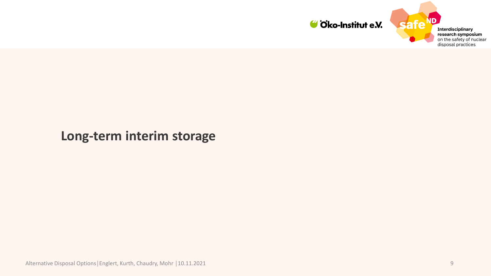



# **Long-term interim storage**

Alternative Disposal Options│Englert, Kurth, Chaudry, Mohr │10.11.2021 9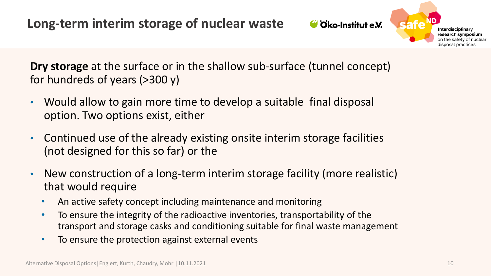Oko-Institut e.V.



**Dry storage** at the surface or in the shallow sub-surface (tunnel concept) for hundreds of years (>300 y)

- Would allow to gain more time to develop a suitable final disposal option. Two options exist, either
- Continued use of the already existing onsite interim storage facilities (not designed for this so far) or the
- New construction of a long-term interim storage facility (more realistic) that would require
	- An active safety concept including maintenance and monitoring
	- To ensure the integrity of the radioactive inventories, transportability of the transport and storage casks and conditioning suitable for final waste management
	- To ensure the protection against external events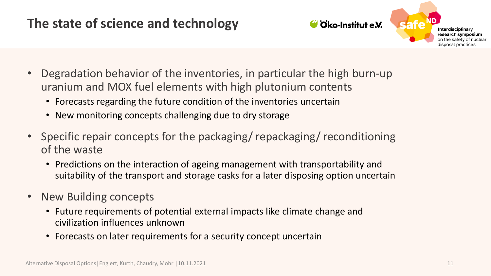# **The state of science and technology**



- Degradation behavior of the inventories, in particular the high burn-up uranium and MOX fuel elements with high plutonium contents
	- Forecasts regarding the future condition of the inventories uncertain
	- New monitoring concepts challenging due to dry storage
- Specific repair concepts for the packaging/ repackaging/ reconditioning of the waste
	- Predictions on the interaction of ageing management with transportability and suitability of the transport and storage casks for a later disposing option uncertain
- New Building concepts
	- Future requirements of potential external impacts like climate change and civilization influences unknown
	- Forecasts on later requirements for a security concept uncertain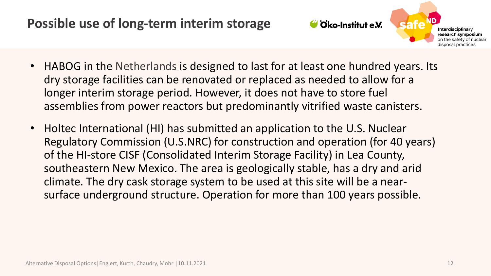

**Interdisciplinary** research symposium on the safety of nuclear disposal practices

- HABOG in the Netherlands is designed to last for at least one hundred years. Its dry storage facilities can be renovated or replaced as needed to allow for a longer interim storage period. However, it does not have to store fuel assemblies from power reactors but predominantly vitrified waste canisters.
- Holtec International (HI) has submitted an application to the U.S. Nuclear Regulatory Commission (U.S.NRC) for construction and operation (for 40 years) of the HI-store CISF (Consolidated Interim Storage Facility) in Lea County, southeastern New Mexico. The area is geologically stable, has a dry and arid climate. The dry cask storage system to be used at this site will be a nearsurface underground structure. Operation for more than 100 years possible.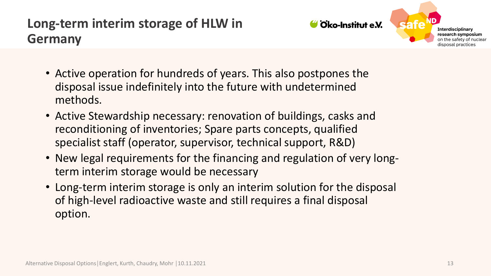# **Long-term interim storage of HLW in Germany**



- Active operation for hundreds of years. This also postpones the disposal issue indefinitely into the future with undetermined methods.
- Active Stewardship necessary: renovation of buildings, casks and reconditioning of inventories; Spare parts concepts, qualified specialist staff (operator, supervisor, technical support, R&D)
- New legal requirements for the financing and regulation of very longterm interim storage would be necessary
- Long-term interim storage is only an interim solution for the disposal of high-level radioactive waste and still requires a final disposal option.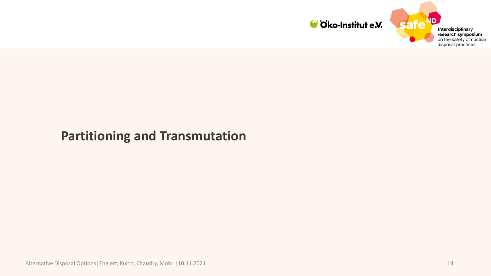

ID **Interdisciplinary** research symposium on the safety of nuclear disposal practices

#### **Partitioning and Transmutation**

Alternative Disposal Options│Englert, Kurth, Chaudry, Mohr | 10.11.2021 14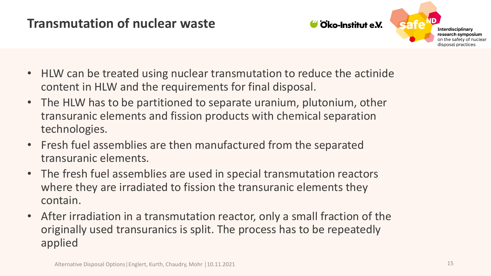#### **Transmutation of nuclear waste**



- HLW can be treated using nuclear transmutation to reduce the actinide content in HLW and the requirements for final disposal.
- The HLW has to be partitioned to separate uranium, plutonium, other transuranic elements and fission products with chemical separation technologies.
- Fresh fuel assemblies are then manufactured from the separated transuranic elements.
- The fresh fuel assemblies are used in special transmutation reactors where they are irradiated to fission the transuranic elements they contain.
- After irradiation in a transmutation reactor, only a small fraction of the originally used transuranics is split. The process has to be repeatedly applied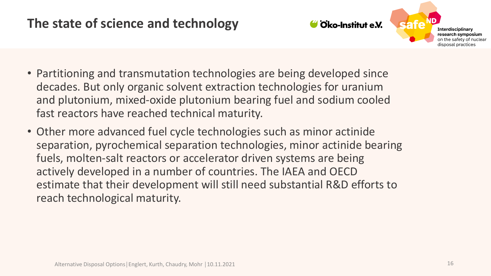# **The state of science and technology**



- Partitioning and transmutation technologies are being developed since decades. But only organic solvent extraction technologies for uranium and plutonium, mixed-oxide plutonium bearing fuel and sodium cooled fast reactors have reached technical maturity.
- Other more advanced fuel cycle technologies such as minor actinide separation, pyrochemical separation technologies, minor actinide bearing fuels, molten-salt reactors or accelerator driven systems are being actively developed in a number of countries. The IAEA and OECD estimate that their development will still need substantial R&D efforts to reach technological maturity.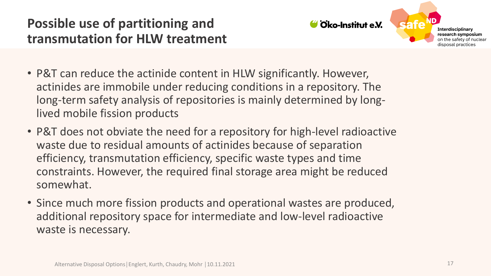# **Possible use of partitioning and transmutation for HLW treatment**



**Interdisciplinary** research symposium on the safety of nuclear disposal practices

- P&T can reduce the actinide content in HLW significantly. However, actinides are immobile under reducing conditions in a repository. The long-term safety analysis of repositories is mainly determined by longlived mobile fission products
- P&T does not obviate the need for a repository for high-level radioactive waste due to residual amounts of actinides because of separation efficiency, transmutation efficiency, specific waste types and time constraints. However, the required final storage area might be reduced somewhat.
- Since much more fission products and operational wastes are produced, additional repository space for intermediate and low-level radioactive waste is necessary.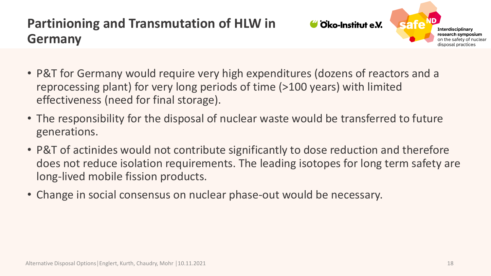# **Partinioning and Transmutation of HLW in Germany**



- P&T for Germany would require very high expenditures (dozens of reactors and a reprocessing plant) for very long periods of time (>100 years) with limited effectiveness (need for final storage).
- The responsibility for the disposal of nuclear waste would be transferred to future generations.
- P&T of actinides would not contribute significantly to dose reduction and therefore does not reduce isolation requirements. The leading isotopes for long term safety are long-lived mobile fission products.
- Change in social consensus on nuclear phase-out would be necessary.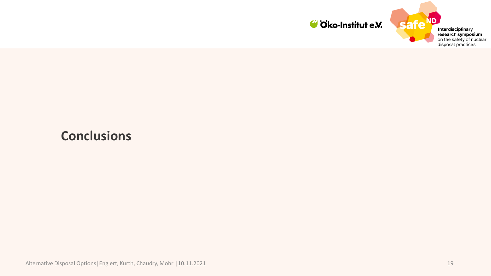

**ND Interdisciplinary** research symposium<br>on the safety of nuclear disposal practices

safe<sup>r</sup>

#### **Conclusions**

Alternative Disposal Options | Englert, Kurth, Chaudry, Mohr | 10.11.2021 19